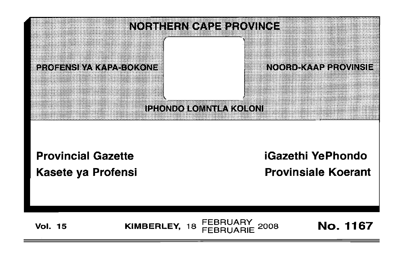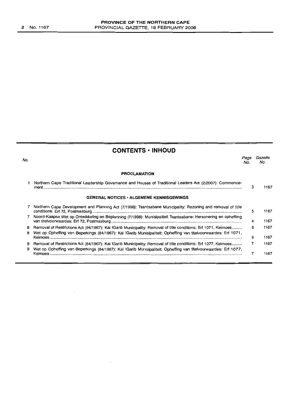No.

 $\overline{\phantom{a}}$ 

 $\bar{\mathbf{r}}$ 

| <b>CONTENTS · INHOUD</b>                                                                                          |             |                |
|-------------------------------------------------------------------------------------------------------------------|-------------|----------------|
|                                                                                                                   | Page<br>No. | Gazette<br>No. |
| <b>PROCLAMATION</b>                                                                                               |             |                |
| 1 Northern Cape Traditional Leadership Governance and Houses of Traditional Leaders Act (2/2007): Commence-       | 3           | 1167           |
| <b>GENERAL NOTICES • ALGEMENE KENNISGEWINGS</b>                                                                   |             |                |
| 7 Northern Cape Development and Planning Act (7/1998): Tsantsabane Municipality: Rezoning and removal of title    | 5.          | 1167           |
| 7 Noord-Kaapse Wet op Ontwikkeling en Beplanning (7/1998): Munisipaliteit Tsantsabane: Hersonering en opheffing   | 4           | 1167           |
| 8 Removal of Restrictions Act (84/1967): Kai !Garib Municipality: Removal of title conditions: Erf 1071, Keimoes  | 6           | 1167           |
| 8 Wet op Opheffing van Beperkings (84/1967): Kai !Garib Munisipaliteit: Opheffing van titelvoorwaardes: Erf 1071, | 6           | 1167           |
| 9 Removal of Restrictions Act (84/1967): Kai !Garib Municipality: Removal of title conditions: Erf 1077, Keimoes  | 7           | 1167           |
| 9 Wet op Opheffing van Beperkings (84/1967): Kai !Garib Munisipaliteit: Opheffing van titelvoorwaardes: Erf 1077, | 7           | 1167           |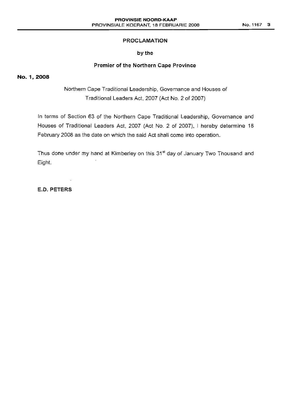# **PROCLAMATION**

# by the

# **Premier of the Northern Cape Province**

## No. 1,2008

Northern Cape Traditional Leadership, Governance and Houses of Traditional Leaders Act, 2007 (Act NO.2 of 2007)

In terms of Section 63 of the Northern Cape Traditional Leadership, Governance and Houses of Traditional Leaders Act, 2007 (Act No. 2 of 2007), I hereby determine 18 February 2008 as the date on which the said Act shall come into operation.

Thus done under my hand at Kimberley on this 31<sup>st</sup> day of January Two Thousand and Eight.

**E.D. PETERS**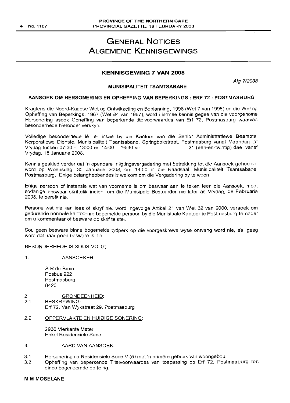# GENERAL NOTICES ALGEMENE KENNISGEWINGS

#### **KENNISGEWING 7 VAN** 2008

Alg 712008

## MUNISIPALITEIT TSANTSABANE

#### AANSOEK OM HERSONERING EN OPHEFFING VAN BEPERKINGS: ERF 72: POSTMASBURG

Kragtens die Noord-Kaapse Wet op Ontwikkeling en Beplanning, 1998 (Wet 7 van 1998) en die Wet op Opheffing van Beperkings, 1967 (Wet 84 van 1967), word hiermee kennis gegee van die voorgenome Hersonering asook Opheffing van beperkende titelvoorwaardes van Erf 72, Postmasburg waarvan besonderhede hieronder verskyn.

Volledige besonderhede Iê ter insae by die Kantoor van die Senior Administratiewe Beampte, Korporatiewe Dienste, Munisipaliteit Tsantsabane, Springbokstraat, Postmasburg vanaf Maandag tot<br>Vrydag tussen 07:30 - 13:00 en 14:00 - 16:30 vir 19:00 - 21 (een-en-twintig) dae, vanaf Vrydag tussen 07:30 - 13:00 en 14:00 - 16:30 vir Vrydag, 18 Januarie 2008.

Kennis geskied verder dat 'n openbare Inligtingsvergadering met betrekking tot die Aansoek gehou sal word op Woensdag, 30 Januarie 2008, om 14:00 in die Raadsaal, Munisipaliteit Tsantsabane, Postmasburg. Enige belanghebbendes is welkom om die Vergadering by te woon.

Enige persoon of instansie wat van voorneme is om beswaar aan te teken teen die Aansoek, moet sodanige beswaar skriftelik indien, om die Munisipale Bestuurder nie later as Vrydag, 08 Februarie 2008, te bereik nie.

Persone wat nie kan lees of skryf nie, word ingevolge Artikel 21 van Wet 32 van 2000, versoek om gedurende normale kantoorure bogemelde persoon by die Munisipale Kantoor te Postmasburg te nader om u kommentaar of besware op skrif te stel.

Sou geen besware binne bogemelde tydperk op die voorgeskrewe wyse ontvang word nie, sal geag word dat daar geen besware is nie.

#### BESONDERHEDE IS SOOS VOLG;

1. AANSOEKER:

S R de Bruin Posbus 922 Postmasburg 8420

- 2. GRONDEENHEID:<br>2.1 BESKRYWING: **BESKRYWING:** Erf 72, Van Wykstraat 29, Postmasburg
- 2.2 OPPERVLAKTE EN HUIDIGE SONERING:

2936 Vierkante Meter Enkel Resldensiele Sone

#### 3. AARD VAN AANSOEK:

- 3.1 Hersonering na Residensiele Sone V (5) met 'n prirnere gebruik van woongebou.
- 3.2 Opheffing van beperkende Titelvoorwaardes van toepassing op Erf 72, Postmasburg ten einde bogenoemde op te rig.

#### M M MOSELANE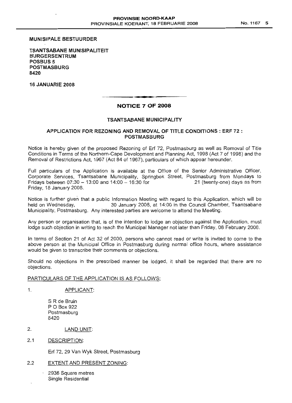#### MUNISIPALE BESTUURDER

TSANTSABANE MUNISIPALITEIT BURGERSENTRUM POSBUS 5 POSTMASBURG 8420

16 JANUARIE 2008

# **• I** NOTICE 7 OF 2008

#### TSANTSABANE MUNICIPALITY

#### APPLICATION FOR REZONING AND REMOVAL OF TITLE CONDITIONS: ERF 72 : POSTMASBURG

Notice is hereby given of the proposed Rezoning of Erf 72, Postmasburg as well as Removal of Title Conditions in Terms of the Northern-Cape Development and Planning Act, 1998 (Act 7 of 1998) and the Removal of Restrictions Act, 1967 (Act 84 of 1967), particulars of which appear hereunder.

Full particulars of the Application is available at the Office of the Senior Administrative Officer, Corporate Services, Tsantsabane Municipality, Springbok Street, Postmasburg from Mondays to<br>Fridays between 07:30 – 13:00 and 14:00 – 16:30 for 21 (twenty-one) days as from Fridays between  $07:30 - 13:00$  and  $14:00 - 16:30$  for Friday, 18 January 2008.

Notice is further given that a public Information Meeting with regard to this Application, which will be held on Wednesday, 30 January 2008, at 14:00 in the Council Chamber, Tsantsabane Municipality, Postmasburg. Any interested parties are welcome to attend the Meeting.

Any person or organisation that, is of the intention to lodge an objection against the Application, must lodge such objection in writing to reach the Municipal Manager not later than Friday, 08 February 2008.

In terms of Section 21 of Act 32 of 2000, persons who cannot read or write is invited to come to the above person at the Municipal Office in Postmasburg during normal office hours, where assistance would be given to transcribe their comments or objections.

Should no objections in the prescribed manner be lodged, it shall be regarded that there are no objections.

#### PARTICULARS OF THE APPLICATION IS AS FOLLOWS;

1. APPLICANT:

S R de Bruin POBox 922 Postmasburg 8420

- 2. LAND UNIT:
- 2.1 DESCRIPTION:

Erf 72, 29 Van Wyk Street, Postmasburg

## 2.2 EXTENT AND PRESENT ZONING:

2936 Square metres Single Residential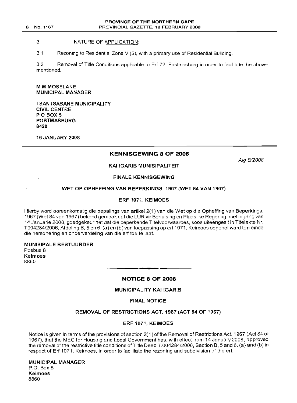#### 3. NATURE OF APPLICATION:

3.1 Rezoning to Residential Zone V (5), with a primary use of Residential Building.

3.2 Removal of Title Conditions applicable to Erf 72, Postmasburg in order to facilitate the abovementioned.

M M MOSELANE MUNICIPAL MANAGER

TSANTSABANE MUNICIPALITY CIVIL CENTRE POBOX 5 POSTMASBURG 8420

16 JANUARY 2008

# KENNISGEWING 8 OF 2008

Alg 8/2008

## KAI IGARIB MUNISIPALITEIT

## FINALE KENNISGEWING

#### WET OP OPHEFFING VAN BEPERKINGS, 1967 (WET 84 VAN 1967)

## ERF 1071, KEIMOES

Hierby word ooreenkomstig die bepalings van artikel 2(1) van die Wet op die Opheffing van Beperkings, 1967 (Wet 84 van 1967) bekend gemaak dat die LUR vir Behuising en Plaaslike Regering, met ingang van 14 Januarie 2008, goedgekeur het dat die beperkende Titelvoorwaardes, soos uiteengesit in Titelakte Nr. T004284/2006, Afdeling B, 5 en 6. (a) en (b) van toepassing op erf 1071, Keimoes opgehefword ten einde die hersonering en onderverdeling van die erf toe te laat.

MUNISIPALE BESTUURDER Posbus 8 Keimoes 8860

## NOTICE 8 OF 2008

.**- .**

#### MUNICIPALITY KAI !GARIB

FINAL NOTICE

#### REMOVAL OF RESTRICTIONS ACT, 1967 (ACT 84 OF 1967)

#### ERF 1071, KEIMOES

Notice is given in terms of the provisions of section 2(1) of the Removal of Restrictions Act, 1967 (Act 84 of 1967), that the MEC for Housing and Local Government has, with effect from 14 January 2008, approved the removal of the restrictive title conditions of Title Deed T.004284/2006, Section B, 5 and 6. (a) and (b) in respect of Erf 1071, Keimoes, in order to facilitate the rezoning and subdivision of the erf.

MUNICIPAL MANAGER P.O. Box 8 Keimoes 8860